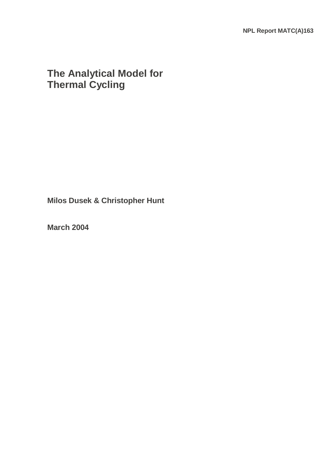# **The Analytical Model for Thermal Cycling**

**Milos Dusek & Christopher Hunt** 

**March 2004**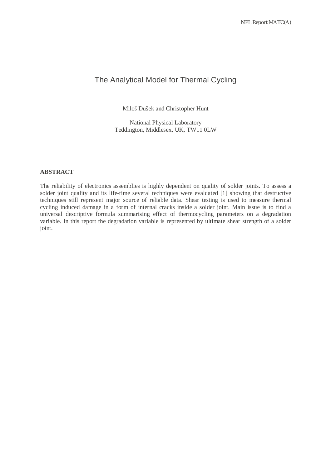## The Analytical Model for Thermal Cycling

Miloš Dušek and Christopher Hunt

National Physical Laboratory Teddington, Middlesex, UK, TW11 0LW

#### **ABSTRACT**

The reliability of electronics assemblies is highly dependent on quality of solder joints. To assess a solder joint quality and its life-time several techniques were evaluated [1] showing that destructive techniques still represent major source of reliable data. Shear testing is used to measure thermal cycling induced damage in a form of internal cracks inside a solder joint. Main issue is to find a universal descriptive formula summarising effect of thermocycling parameters on a degradation variable. In this report the degradation variable is represented by ultimate shear strength of a solder joint.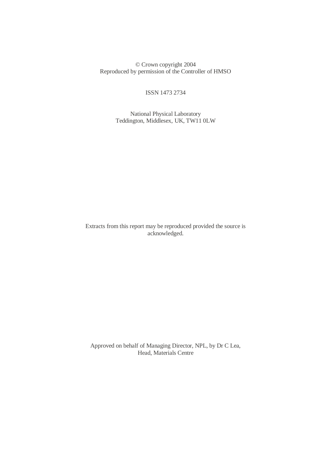© Crown copyright 2004 Reproduced by permission of the Controller of HMSO

ISSN 1473 2734

 National Physical Laboratory Teddington, Middlesex, UK, TW11 0LW

Extracts from this report may be reproduced provided the source is acknowledged.

 Approved on behalf of Managing Director, NPL, by Dr C Lea, Head, Materials Centre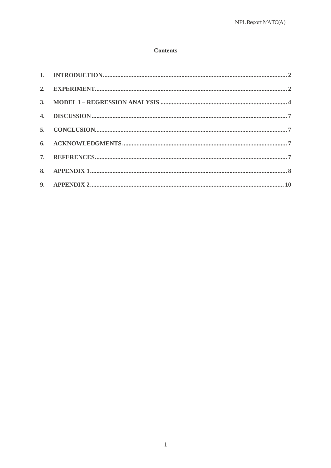#### **Contents**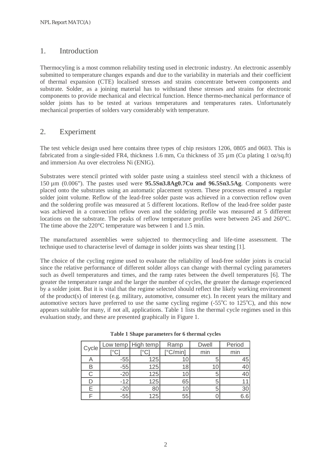## 1. Introduction

Thermocyling is a most common reliability testing used in electronic industry. An electronic assembly submitted to temperature changes expands and due to the variability in materials and their coefficient of thermal expansion (CTE) localised stresses and strains concentrate between components and substrate. Solder, as a joining material has to withstand these stresses and strains for electronic components to provide mechanical and electrical function. Hence thermo-mechanical performance of solder joints has to be tested at various temperatures and temperatures rates. Unfortunately mechanical properties of solders vary considerably with temperature.

## 2. Experiment

The test vehicle design used here contains three types of chip resistors 1206, 0805 and 0603. This is fabricated from a single-sided FR4, thickness 1.6 mm, Cu thickness of 35  $\mu$ m (Cu plating 1 oz/sq.ft) and immersion Au over electroless Ni (ENIG).

Substrates were stencil printed with solder paste using a stainless steel stencil with a thickness of 150 µm (0.006"). The pastes used were **95.5Sn3.8Ag0.7Cu and 96.5Sn3.5Ag**. Components were placed onto the substrates using an automatic placement system. These processes ensured a regular solder joint volume. Reflow of the lead-free solder paste was achieved in a convection reflow oven and the soldering profile was measured at 5 different locations. Reflow of the lead-free solder paste was achieved in a convection reflow oven and the soldering profile was measured at 5 different locations on the substrate. The peaks of reflow temperature profiles were between 245 and 260°C. The time above the 220°C temperature was between 1 and 1.5 min.

The manufactured assemblies were subjected to thermocycling and life-time assessment. The technique used to characterise level of damage in solder joints was shear testing [1].

The choice of the cycling regime used to evaluate the reliability of lead-free solder joints is crucial since the relative performance of different solder alloys can change with thermal cycling parameters such as dwell temperatures and times, and the ramp rates between the dwell temperatures [6]. The greater the temperature range and the larger the number of cycles, the greater the damage experienced by a solder joint. But it is vital that the regime selected should reflect the likely working environment of the product(s) of interest (e.g. military, automotive, consumer etc). In recent years the military and automotive sectors have preferred to use the same cycling regime  $(-55^{\circ}C)$  to  $125^{\circ}C$ ), and this now appears suitable for many, if not all, applications. Table 1 lists the thermal cycle regimes used in this evaluation study, and these are presented graphically in Figure 1.

| Cycle |       | Low temp   High temp | Ramp              | <b>Dwell</b> | Period |  |
|-------|-------|----------------------|-------------------|--------------|--------|--|
|       |       |                      | $[^{\circ}C/min]$ | min          | min    |  |
|       | $-55$ | 125                  |                   | 5            | 45     |  |
| R     | $-55$ | 125                  |                   |              |        |  |
|       | $-20$ | 125                  |                   | 5            |        |  |
|       | $-12$ | 125                  | 65                |              |        |  |
|       | $-20$ |                      |                   | 5            | 30     |  |
|       | -55   | 125                  | 55                |              |        |  |

**Table 1 Shape parameters for 6 thermal cycles**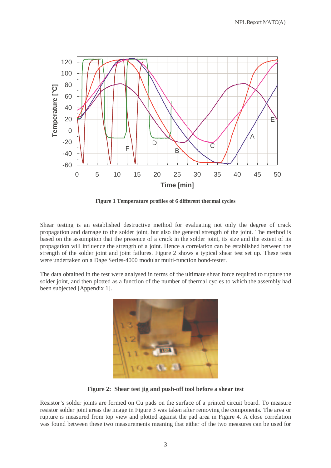

**Figure 1 Temperature profiles of 6 different thermal cycles** 

Shear testing is an established destructive method for evaluating not only the degree of crack propagation and damage to the solder joint, but also the general strength of the joint. The method is based on the assumption that the presence of a crack in the solder joint, its size and the extent of its propagation will influence the strength of a joint. Hence a correlation can be established between the strength of the solder joint and joint failures. Figure 2 shows a typical shear test set up. These tests were undertaken on a Dage Series-4000 modular multi-function bond-tester.

The data obtained in the test were analysed in terms of the ultimate shear force required to rupture the solder joint, and then plotted as a function of the number of thermal cycles to which the assembly had been subjected [Appendix 1].



**Figure 2: Shear test jig and push-off tool before a shear test** 

Resistor's solder joints are formed on Cu pads on the surface of a printed circuit board. To measure resistor solder joint areas the image in Figure 3 was taken after removing the components. The area or rupture is measured from top view and plotted against the pad area in Figure 4. A close correlation was found between these two measurements meaning that either of the two measures can be used for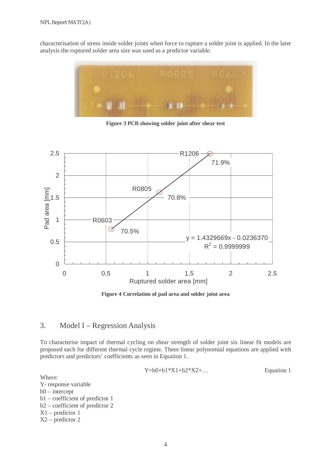characterisation of stress inside solder joints when force to rupture a solder joint is applied. In the later analysis the ruptured solder area size was used as a predictor variable.



**Figure 3 PCB showing solder joint after shear test** 



**Figure 4 Correlation of pad area and solder joint area** 

## 3. Model I – Regression Analysis

To characterise impact of thermal cycling on shear strength of solder joint six linear fit models are proposed each for different thermal cycle regime. These linear polynomial equations are applied with predictors and predictors' coefficients as seen in Equation 1.

$$
Y = b0 + b1 * X1 + b2 * X2 + \dots
$$
 Equation 1

Where:

Y- response variable b0 – intercept b1 – coefficient of predictor 1 b2 – coefficient of predictor 2 X1 – predictor 1 X2 – predictor 2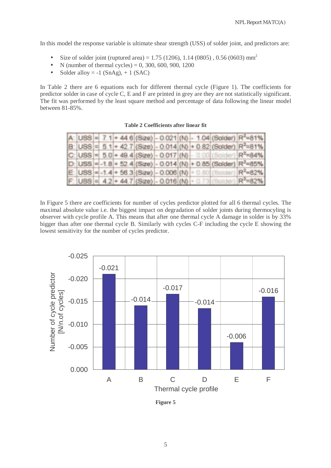In this model the response variable is ultimate shear strength (USS) of solder joint, and predictors are:

- Size of solder joint (ruptured area) = 1.75 (1206), 1.14 (0805), 0.56 (0603) mm<sup>2</sup>
- N (number of thermal cycles) = 0, 300, 600, 900, 1200
- Solder alloy  $= -1$  (SnAg),  $+ 1$  (SAC)

In Table 2 there are 6 equations each for different thermal cycle (Figure 1). The coefficients for predictor solder in case of cycle C, E and F are printed in grey are they are not statistically significant. The fit was performed by the least square method and percentage of data following the linear model between 81-85%.

|  |  |  |  |  | A: $ USS  = 7.1 + 44.6$ (Size) - 0.021 (N) - 1.04 (Solder) $R^2 = 81\%$          |
|--|--|--|--|--|----------------------------------------------------------------------------------|
|  |  |  |  |  | $B:  USS  =  5.1  + 42.7 $ (Size) - 0.014 $ (N) + 0.82 $ (Solder) $ R^2 = 81\% $ |
|  |  |  |  |  | $ C $ USS = $ 5.0 $ + 49.4 (Size) - 0.017 (N) - 0.00 (Solder) $ R^2$ =84%        |
|  |  |  |  |  | $D:$ USS = -1.8 + 52.4 (Size) - 0.014 (N) + 0.85 (Solder) $R^2$ =85%             |
|  |  |  |  |  | $E:  USS  = -1.4 + 56.3 (Size)  - 0.006 (N) + 0.80 (Solution) R^2 = 82%$         |
|  |  |  |  |  | F: USS = $4.2 + 44.7$ (Size) - 0.016 (N) + 0.73 (Solder) $R^2 = 82\%$            |

**Table 2 Coefficients after linear fit** 

In Figure 5 there are coefficients for number of cycles predictor plotted for all 6 thermal cycles. The maximal absolute value i.e. the biggest impact on degradation of solder joints during thermocyling is observer with cycle profile A. This means that after one thermal cycle A damage in solder is by 33% bigger than after one thermal cycle B. Similarly with cycles C-F including the cycle E showing the lowest sensitivity for the number of cycles predictor.



**Figure 5**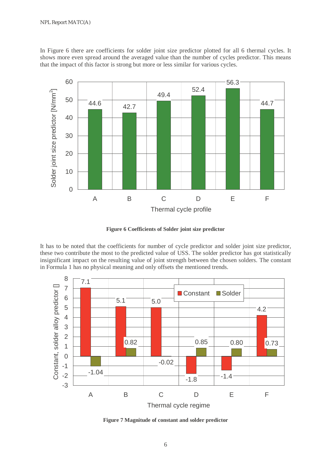In Figure 6 there are coefficients for solder joint size predictor plotted for all 6 thermal cycles. It shows more even spread around the averaged value than the number of cycles predictor. This means that the impact of this factor is strong but more or less similar for various cycles.



**Figure 6 Coefficients of Solder joint size predictor** 

It has to be noted that the coefficients for number of cycle predictor and solder joint size predictor, these two contribute the most to the predicted value of USS. The solder predictor has got statistically insignificant impact on the resulting value of joint strength between the chosen solders. The constant in Formula 1 has no physical meaning and only offsets the mentioned trends.



**Figure 7 Magnitude of constant and solder predictor**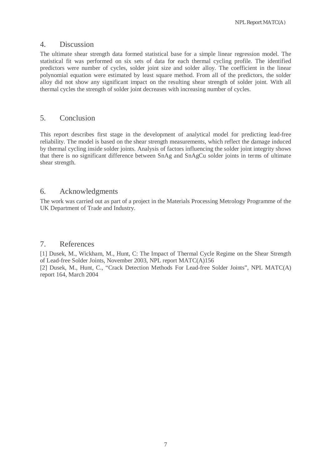NPL Report MATC(A)

#### 4. Discussion

The ultimate shear strength data formed statistical base for a simple linear regression model. The statistical fit was performed on six sets of data for each thermal cycling profile. The identified predictors were number of cycles, solder joint size and solder alloy. The coefficient in the linear polynomial equation were estimated by least square method. From all of the predictors, the solder alloy did not show any significant impact on the resulting shear strength of solder joint. With all thermal cycles the strength of solder joint decreases with increasing number of cycles.

## 5. Conclusion

This report describes first stage in the development of analytical model for predicting lead-free reliability. The model is based on the shear strength measurements, which reflect the damage induced by thermal cycling inside solder joints. Analysis of factors influencing the solder joint integrity shows that there is no significant difference between SnAg and SnAgCu solder joints in terms of ultimate shear strength.

## 6. Acknowledgments

The work was carried out as part of a project in the Materials Processing Metrology Programme of the UK Department of Trade and Industry.

### 7. References

[1] Dusek, M., Wickham, M., Hunt, C: The Impact of Thermal Cycle Regime on the Shear Strength of Lead-free Solder Joints, November 2003, NPL report MATC(A)156

[2] Dusek, M., Hunt, C., "Crack Detection Methods For Lead-free Solder Joints", NPL MATC(A) report 164, March 2004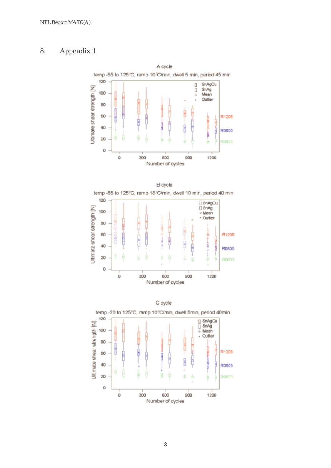## 8. Appendix 1







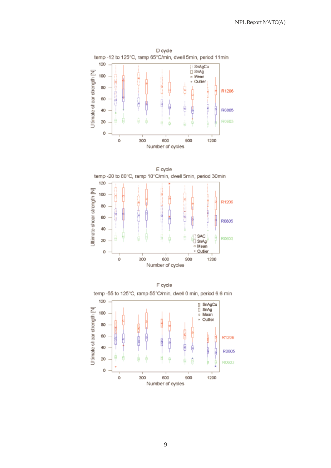





9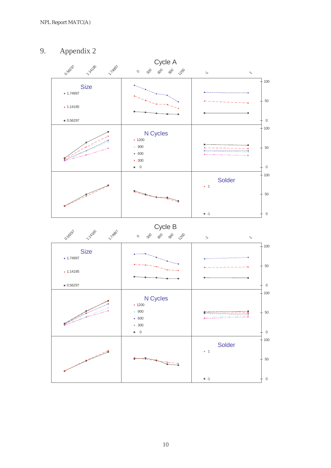## 9. Appendix 2



10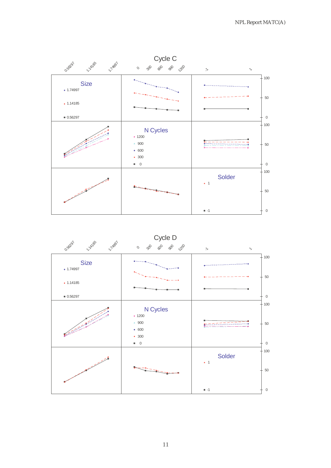